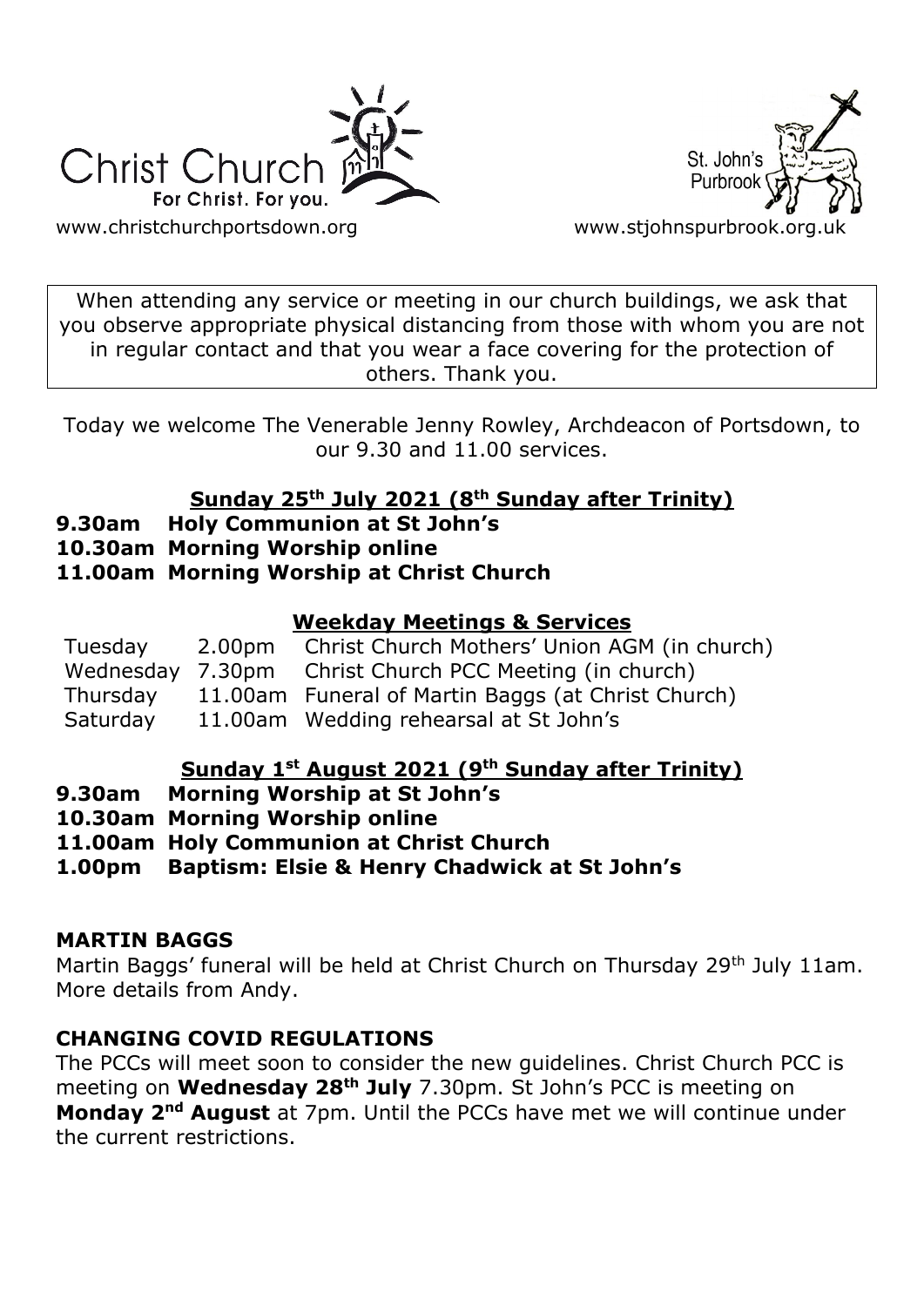



[www.christchurchportsdown.org](http://www.christchurchportsdown.org/) www.stjohnspurbrook.org

When attending any service or meeting in our church buildings, we ask that you observe appropriate physical distancing from those with whom you are not in regular contact and that you wear a face covering for the protection of others. Thank you.

Today we welcome The Venerable Jenny Rowley, Archdeacon of Portsdown, to our 9.30 and 11.00 services.

## **Sunday 25th July 2021 (8th Sunday after Trinity)**

- **9.30am Holy Communion at St John's**
- **10.30am Morning Worship online**

## **11.00am Morning Worship at Christ Church**

## **Weekday Meetings & Services**

| Tuesday  | 2.00pm Christ Church Mothers' Union AGM (in church)    |
|----------|--------------------------------------------------------|
|          | Wednesday 7.30pm Christ Church PCC Meeting (in church) |
| Thursday | 11.00am Funeral of Martin Baggs (at Christ Church)     |
| Saturday | 11.00am Wedding rehearsal at St John's                 |

### **Sunday 1st August 2021 (9th Sunday after Trinity)**

- **9.30am Morning Worship at St John's**
- **10.30am Morning Worship online**
- **11.00am Holy Communion at Christ Church**
- **1.00pm Baptism: Elsie & Henry Chadwick at St John's**

## **MARTIN BAGGS**

Martin Baggs' funeral will be held at Christ Church on Thursday 29<sup>th</sup> July 11am. More details from Andy.

## **CHANGING COVID REGULATIONS**

The PCCs will meet soon to consider the new guidelines. Christ Church PCC is meeting on **Wednesday 28th July** 7.30pm. St John's PCC is meeting on **Monday 2nd August** at 7pm. Until the PCCs have met we will continue under the current restrictions.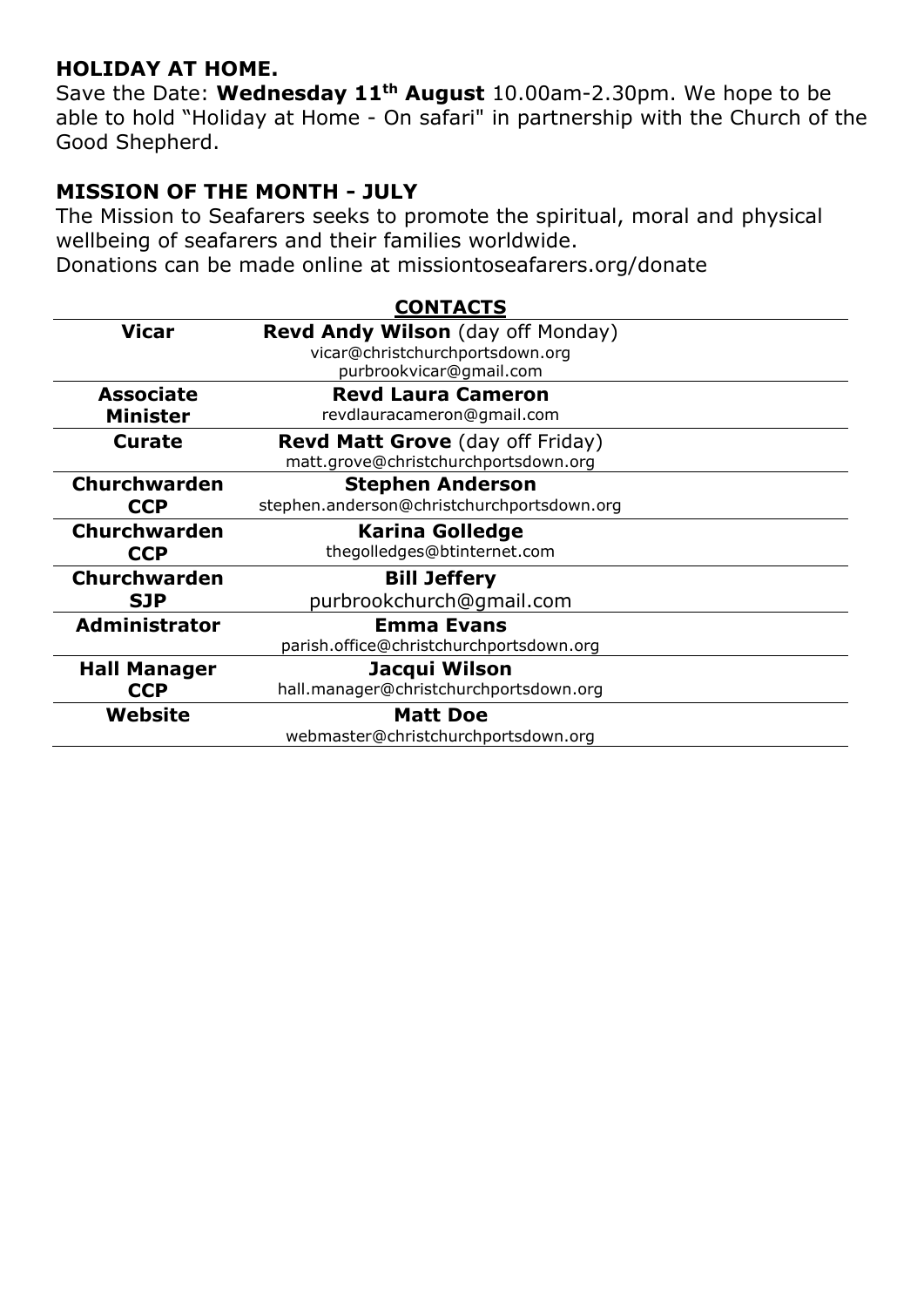### **HOLIDAY AT HOME.**

Save the Date: **Wednesday 11th August** 10.00am-2.30pm. We hope to be able to hold "Holiday at Home - On safari" in partnership with the Church of the Good Shepherd.

## **MISSION OF THE MONTH - JULY**

The Mission to Seafarers seeks to promote the spiritual, moral and physical wellbeing of seafarers and their families worldwide.

Donations can be made online at missiontoseafarers.org/donate

|                      | <b>CONTACTS</b>                            |
|----------------------|--------------------------------------------|
| <b>Vicar</b>         | <b>Revd Andy Wilson</b> (day off Monday)   |
|                      | vicar@christchurchportsdown.org            |
|                      | purbrookvicar@gmail.com                    |
| <b>Associate</b>     | <b>Revd Laura Cameron</b>                  |
| <b>Minister</b>      | revdlauracameron@gmail.com                 |
| Curate               | <b>Revd Matt Grove</b> (day off Friday)    |
|                      | matt.grove@christchurchportsdown.org       |
| <b>Churchwarden</b>  | <b>Stephen Anderson</b>                    |
| <b>CCP</b>           | stephen.anderson@christchurchportsdown.org |
| <b>Churchwarden</b>  | Karina Golledge                            |
| <b>CCP</b>           | thegolledges@btinternet.com                |
| <b>Churchwarden</b>  | <b>Bill Jeffery</b>                        |
| <b>SJP</b>           | purbrookchurch@gmail.com                   |
| <b>Administrator</b> | <b>Emma Evans</b>                          |
|                      | parish.office@christchurchportsdown.org    |
| <b>Hall Manager</b>  | Jacqui Wilson                              |
| <b>CCP</b>           | hall.manager@christchurchportsdown.org     |
| Website              | <b>Matt Doe</b>                            |
|                      | webmaster@christchurchportsdown.org        |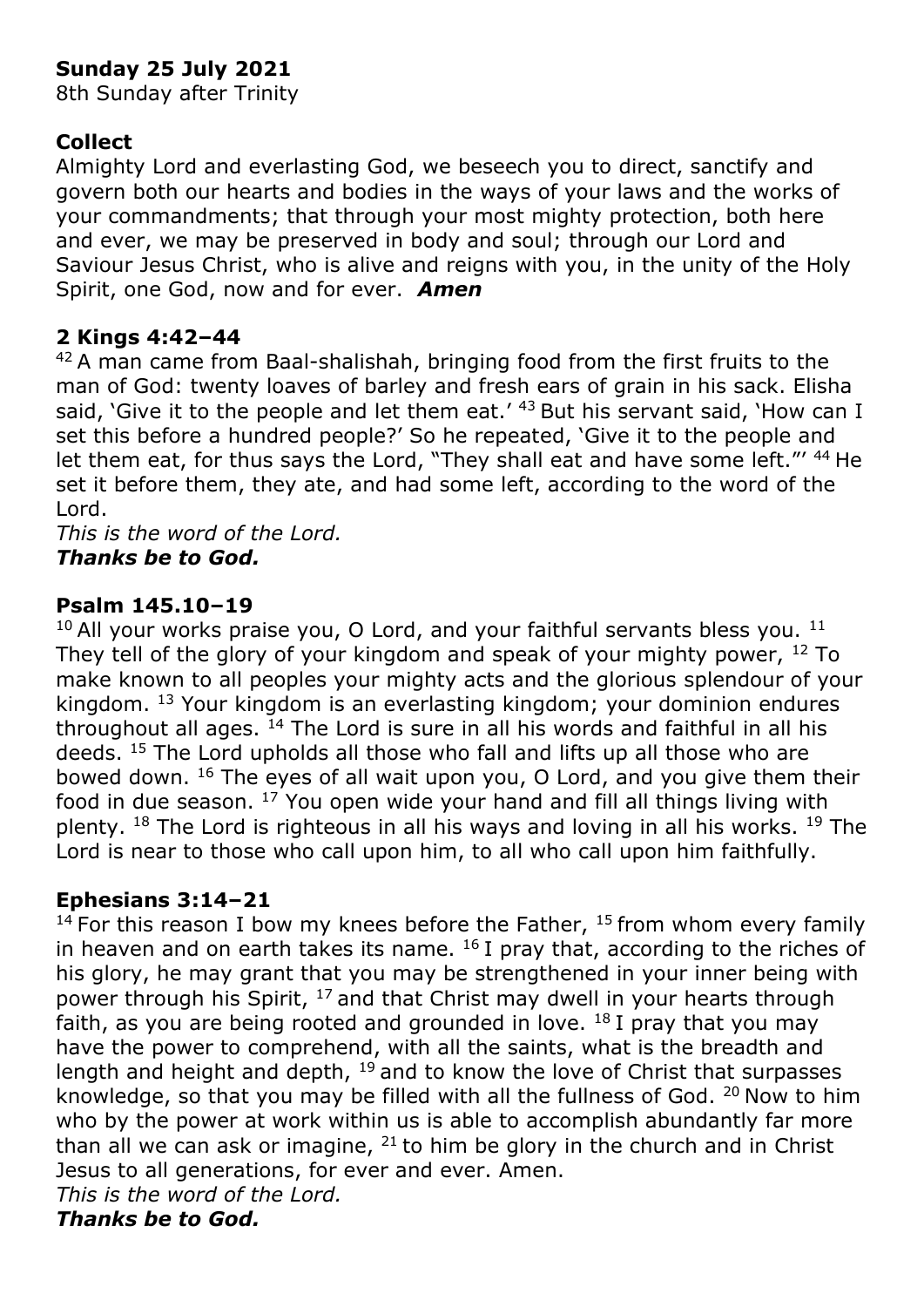# **Sunday 25 July 2021**

8th Sunday after Trinity

## **Collect**

Almighty Lord and everlasting God, we beseech you to direct, sanctify and govern both our hearts and bodies in the ways of your laws and the works of your commandments; that through your most mighty protection, both here and ever, we may be preserved in body and soul; through our Lord and Saviour Jesus Christ, who is alive and reigns with you, in the unity of the Holy Spirit, one God, now and for ever. *Amen* 

## **2 Kings 4:42–44**

 $42A$  man came from Baal-shalishah, bringing food from the first fruits to the man of God: twenty loaves of barley and fresh ears of grain in his sack. Elisha said, 'Give it to the people and let them eat.'  $43$  But his servant said, 'How can I set this before a hundred people?' So he repeated, 'Give it to the people and let them eat, for thus says the Lord, "They shall eat and have some left."' 44 He set it before them, they ate, and had some left, according to the word of the Lord.

*This is the word of the Lord. Thanks be to God.*

## **Psalm 145.10–19**

 $10$  All your works praise you, O Lord, and your faithful servants bless you.  $11$ They tell of the glory of your kingdom and speak of your mighty power,  $^{12}$  To make known to all peoples your mighty acts and the glorious splendour of your kingdom. <sup>13</sup> Your kingdom is an everlasting kingdom; your dominion endures throughout all ages.  $^{14}$  The Lord is sure in all his words and faithful in all his deeds. <sup>15</sup> The Lord upholds all those who fall and lifts up all those who are bowed down. <sup>16</sup> The eyes of all wait upon you, O Lord, and you give them their food in due season. <sup>17</sup> You open wide your hand and fill all things living with plenty.  $18$  The Lord is righteous in all his ways and loving in all his works.  $19$  The Lord is near to those who call upon him, to all who call upon him faithfully.

### **Ephesians 3:14–21**

<sup>14</sup> For this reason I bow my knees before the Father,  $15$  from whom every family in heaven and on earth takes its name.  $16$  I pray that, according to the riches of his glory, he may grant that you may be strengthened in your inner being with power through his Spirit, <sup>17</sup> and that Christ may dwell in your hearts through faith, as you are being rooted and grounded in love.  $18$  I pray that you may have the power to comprehend, with all the saints, what is the breadth and length and height and depth,  $19$  and to know the love of Christ that surpasses knowledge, so that you may be filled with all the fullness of God.  $20$  Now to him who by the power at work within us is able to accomplish abundantly far more than all we can ask or imagine,  $21$  to him be glory in the church and in Christ Jesus to all generations, for ever and ever. Amen. *This is the word of the Lord.*

*Thanks be to God.*